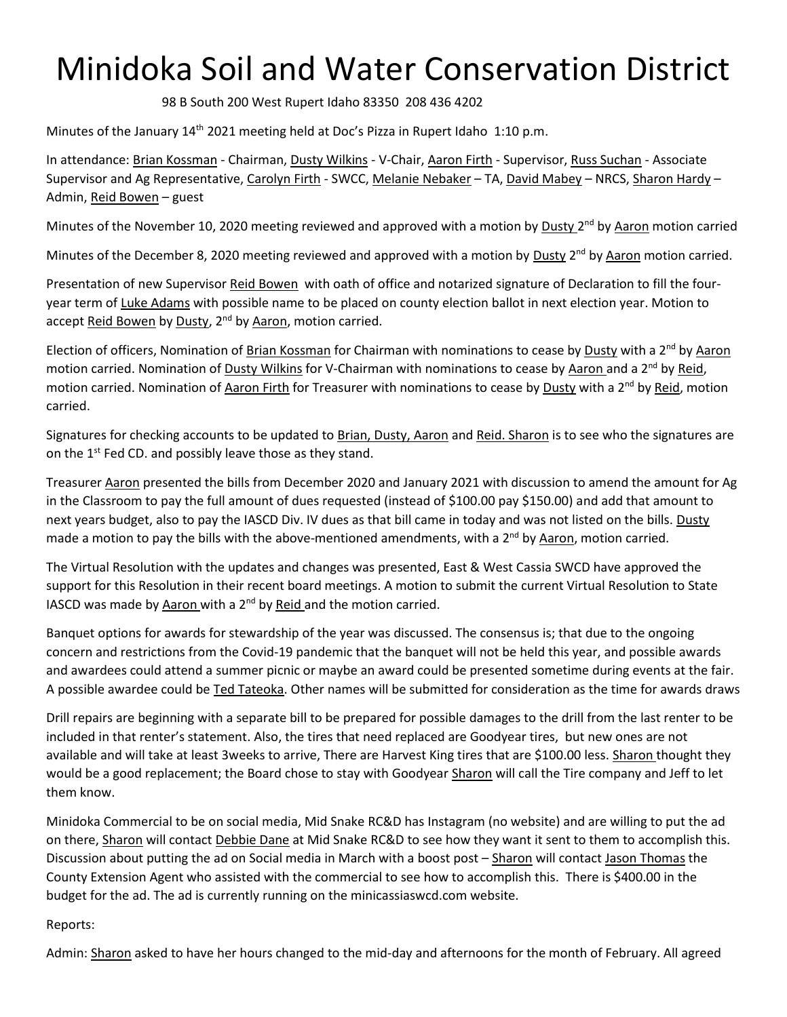## Minidoka Soil and Water Conservation District

98 B South 200 West Rupert Idaho 83350 208 436 4202

Minutes of the January  $14<sup>th</sup>$  2021 meeting held at Doc's Pizza in Rupert Idaho 1:10 p.m.

In attendance: Brian Kossman - Chairman, Dusty Wilkins - V-Chair, Aaron Firth - Supervisor, Russ Suchan - Associate Supervisor and Ag Representative, Carolyn Firth - SWCC, Melanie Nebaker – TA, David Mabey – NRCS, Sharon Hardy – Admin, Reid Bowen – guest

Minutes of the November 10, 2020 meeting reviewed and approved with a motion by **Dusty 2<sup>nd</sup> by Aaron** motion carried

Minutes of the December 8, 2020 meeting reviewed and approved with a motion by Dusty 2<sup>nd</sup> by Aaron motion carried.

Presentation of new Supervisor Reid Bowen with oath of office and notarized signature of Declaration to fill the fouryear term of Luke Adams with possible name to be placed on county election ballot in next election year. Motion to accept Reid Bowen by Dusty, 2<sup>nd</sup> by Aaron, motion carried.

Election of officers, Nomination of Brian Kossman for Chairman with nominations to cease by Dusty with a 2<sup>nd</sup> by Aaron motion carried. Nomination of Dusty Wilkins for V-Chairman with nominations to cease by Aaron and a 2<sup>nd</sup> by Reid, motion carried. Nomination of Aaron Firth for Treasurer with nominations to cease by Dusty with a 2<sup>nd</sup> by Reid, motion carried.

Signatures for checking accounts to be updated to Brian, Dusty, Aaron and Reid. Sharon is to see who the signatures are on the 1<sup>st</sup> Fed CD. and possibly leave those as they stand.

Treasurer Aaron presented the bills from December 2020 and January 2021 with discussion to amend the amount for Ag in the Classroom to pay the full amount of dues requested (instead of \$100.00 pay \$150.00) and add that amount to next years budget, also to pay the IASCD Div. IV dues as that bill came in today and was not listed on the bills. Dusty made a motion to pay the bills with the above-mentioned amendments, with a 2<sup>nd</sup> by Aaron, motion carried.

The Virtual Resolution with the updates and changes was presented, East & West Cassia SWCD have approved the support for this Resolution in their recent board meetings. A motion to submit the current Virtual Resolution to State IASCD was made by Aaron with a  $2<sup>nd</sup>$  by Reid and the motion carried.

Banquet options for awards for stewardship of the year was discussed. The consensus is; that due to the ongoing concern and restrictions from the Covid-19 pandemic that the banquet will not be held this year, and possible awards and awardees could attend a summer picnic or maybe an award could be presented sometime during events at the fair. A possible awardee could be Ted Tateoka. Other names will be submitted for consideration as the time for awards draws

Drill repairs are beginning with a separate bill to be prepared for possible damages to the drill from the last renter to be included in that renter's statement. Also, the tires that need replaced are Goodyear tires, but new ones are not available and will take at least 3weeks to arrive, There are Harvest King tires that are \$100.00 less. Sharon thought they would be a good replacement; the Board chose to stay with Goodyear Sharon will call the Tire company and Jeff to let them know.

Minidoka Commercial to be on social media, Mid Snake RC&D has Instagram (no website) and are willing to put the ad on there, Sharon will contact Debbie Dane at Mid Snake RC&D to see how they want it sent to them to accomplish this. Discussion about putting the ad on Social media in March with a boost post – Sharon will contact Jason Thomas the County Extension Agent who assisted with the commercial to see how to accomplish this. There is \$400.00 in the budget for the ad. The ad is currently running on the minicassiaswcd.com website.

## Reports:

Admin: Sharon asked to have her hours changed to the mid-day and afternoons for the month of February. All agreed